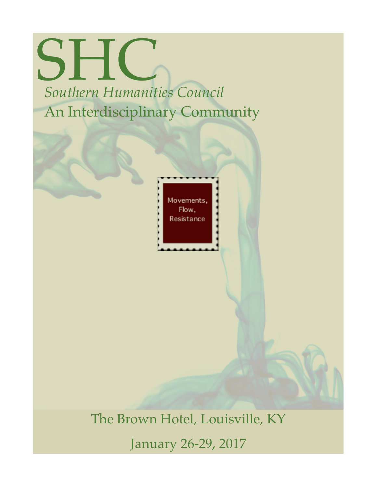## **SHIC** *Southern Humanities Council* An Interdisciplinary Community

Movements, Flow, Resistance

The Brown Hotel, Louisville, KY

January 26-29, 2017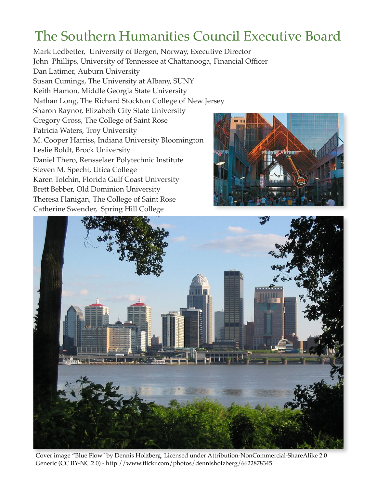## The Southern Humanities Council Executive Board

Mark Ledbetter, University of Bergen, Norway, Executive Director John Phillips, University of Tennessee at Chattanooga, Financial Officer Dan Latimer, Auburn University Susan Cumings, The University at Albany, SUNY Keith Hamon, Middle Georgia State University Nathan Long, The Richard Stockton College of New Jersey Sharon Raynor, Elizabeth City State University Gregory Gross, The College of Saint Rose Patricia Waters, Troy University M. Cooper Harriss, Indiana University Bloomington Leslie Boldt, Brock University Daniel Thero, Rensselaer Polytechnic Institute Steven M. Specht, Utica College Karen Tolchin, Florida Gulf Coast University Brett Bebber, Old Dominion University Theresa Flanigan, The College of Saint Rose Catherine Swender, Spring Hill College





Cover image "Blue Flow" by Dennis Holzberg. Licensed under Attribution-NonCommercial-ShareAlike 2.0 Generic (CC BY-NC 2.0) -<http://www.flickr.com/photos/dennisholzberg/6622878345>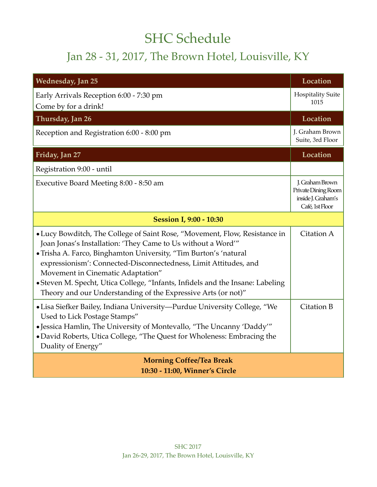## SHC Schedule

## Jan 28 - 31, 2017, The Brown Hotel, Louisville, KY

| <b>Wednesday, Jan 25</b>                                                                                                                                                                                                                                                                                                                                                                                                                                                   | Location                                                                        |  |
|----------------------------------------------------------------------------------------------------------------------------------------------------------------------------------------------------------------------------------------------------------------------------------------------------------------------------------------------------------------------------------------------------------------------------------------------------------------------------|---------------------------------------------------------------------------------|--|
| Early Arrivals Reception 6:00 - 7:30 pm<br>Come by for a drink!                                                                                                                                                                                                                                                                                                                                                                                                            | <b>Hospitality Suite</b><br>1015                                                |  |
| Thursday, Jan 26                                                                                                                                                                                                                                                                                                                                                                                                                                                           | Location                                                                        |  |
| Reception and Registration 6:00 - 8:00 pm                                                                                                                                                                                                                                                                                                                                                                                                                                  | J. Graham Brown<br>Suite, 3rd Floor                                             |  |
| Friday, Jan 27                                                                                                                                                                                                                                                                                                                                                                                                                                                             | Location                                                                        |  |
| Registration 9:00 - until                                                                                                                                                                                                                                                                                                                                                                                                                                                  |                                                                                 |  |
| Executive Board Meeting 8:00 - 8:50 am                                                                                                                                                                                                                                                                                                                                                                                                                                     | J. Graham Brown<br>Private Dining Room<br>inside J. Graham's<br>Café, 1st Floor |  |
| <b>Session I, 9:00 - 10:30</b>                                                                                                                                                                                                                                                                                                                                                                                                                                             |                                                                                 |  |
| • Lucy Bowditch, The College of Saint Rose, "Movement, Flow, Resistance in<br>Joan Jonas's Installation: 'They Came to Us without a Word'"<br>• Trisha A. Farco, Binghamton University, "Tim Burton's 'natural<br>expressionism': Connected-Disconnectedness, Limit Attitudes, and<br>Movement in Cinematic Adaptation"<br>• Steven M. Specht, Utica College, "Infants, Infidels and the Insane: Labeling<br>Theory and our Understanding of the Expressive Arts (or not)" | Citation A                                                                      |  |
| • Lisa Siefker Bailey, Indiana University—Purdue University College, "We<br>Used to Lick Postage Stamps"<br>• Jessica Hamlin, The University of Montevallo, "The Uncanny 'Daddy'"<br>• David Roberts, Utica College, "The Quest for Wholeness: Embracing the<br>Duality of Energy"                                                                                                                                                                                         | Citation B                                                                      |  |
| <b>Morning Coffee/Tea Break</b><br>10:30 - 11:00, Winner's Circle                                                                                                                                                                                                                                                                                                                                                                                                          |                                                                                 |  |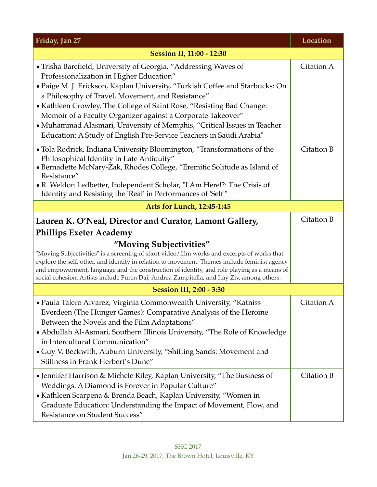| Friday, Jan 27                                                                                                                                                                                                                                                                                                                                                                                                                                                                                                                             | Location   |  |
|--------------------------------------------------------------------------------------------------------------------------------------------------------------------------------------------------------------------------------------------------------------------------------------------------------------------------------------------------------------------------------------------------------------------------------------------------------------------------------------------------------------------------------------------|------------|--|
| <b>Session II, 11:00 - 12:30</b>                                                                                                                                                                                                                                                                                                                                                                                                                                                                                                           |            |  |
| • Trisha Barefield, University of Georgia, "Addressing Waves of<br>Professionalization in Higher Education"<br>• Paige M. J. Erickson, Kaplan University, "Turkish Coffee and Starbucks: On<br>a Philosophy of Travel, Movement, and Resistance"<br>• Kathleen Crowley, The College of Saint Rose, "Resisting Bad Change:<br>Memoir of a Faculty Organizer against a Corporate Takeover"<br>• Muhammad Alasmari, University of Memphis, "Critical Issues in Teacher<br>Education: A Study of English Pre-Service Teachers in Saudi Arabia" | Citation A |  |
| • Tola Rodrick, Indiana University Bloomington, "Transformations of the<br>Philosophical Identity in Late Antiquity"<br>• Bernadette McNary-Zak, Rhodes College, "Eremitic Solitude as Island of<br>Resistance"<br>• R. Weldon Ledbetter, Independent Scholar, "I Am Here!?: The Crisis of<br>Identity and Resisting the 'Real' in Performances of 'Self"                                                                                                                                                                                  | Citation B |  |
| <b>Arts for Lunch, 12:45-1:45</b>                                                                                                                                                                                                                                                                                                                                                                                                                                                                                                          |            |  |
| Lauren K. O'Neal, Director and Curator, Lamont Gallery,<br><b>Phillips Exeter Academy</b><br>"Moving Subjectivities"<br>"Moving Subjectivities" is a screening of short video/film works and excerpts of works that<br>explore the self, other, and identity in relation to movement. Themes include feminist agency<br>and empowerment, language and the construction of identity, and role playing as a means of<br>social cohesion. Artists include Furen Dai, Andrea Zampitella, and Itay Ziv, among others.                           | Citation B |  |
| <b>Session III, 2:00 - 3:30</b>                                                                                                                                                                                                                                                                                                                                                                                                                                                                                                            |            |  |
| • Paula Talero Alvarez, Virginia Commonwealth University, "Katniss<br>Everdeen (The Hunger Games): Comparative Analysis of the Heroine<br>Between the Novels and the Film Adaptations"<br>• Abdullah Al-Asmari, Southern Illinois University, "The Role of Knowledge<br>in Intercultural Communication"<br>• Guy V. Beckwith, Auburn University, "Shifting Sands: Movement and<br>Stillness in Frank Herbert's Dune"                                                                                                                       | Citation A |  |
| • Jennifer Harrison & Michele Riley, Kaplan University, "The Business of<br>Weddings: A Diamond is Forever in Popular Culture"<br>• Kathleen Scarpena & Brenda Beach, Kaplan University, "Women in<br>Graduate Education: Understanding the Impact of Movement, Flow, and<br>Resistance on Student Success"                                                                                                                                                                                                                                | Citation B |  |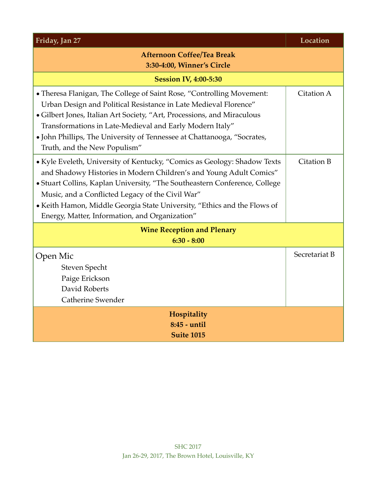| Friday, Jan 27                                                                                                                                                                                                                                                                                                                                                                                                 | Location      |  |
|----------------------------------------------------------------------------------------------------------------------------------------------------------------------------------------------------------------------------------------------------------------------------------------------------------------------------------------------------------------------------------------------------------------|---------------|--|
| <b>Afternoon Coffee/Tea Break</b><br>3:30-4:00, Winner's Circle                                                                                                                                                                                                                                                                                                                                                |               |  |
| <b>Session IV, 4:00-5:30</b>                                                                                                                                                                                                                                                                                                                                                                                   |               |  |
| • Theresa Flanigan, The College of Saint Rose, "Controlling Movement:<br>Urban Design and Political Resistance in Late Medieval Florence"<br>• Gilbert Jones, Italian Art Society, "Art, Processions, and Miraculous<br>Transformations in Late-Medieval and Early Modern Italy"<br>• John Phillips, The University of Tennessee at Chattanooga, "Socrates,<br>Truth, and the New Populism"                    | Citation A    |  |
| • Kyle Eveleth, University of Kentucky, "Comics as Geology: Shadow Texts<br>and Shadowy Histories in Modern Children's and Young Adult Comics"<br>• Stuart Collins, Kaplan University, "The Southeastern Conference, College<br>Music, and a Conflicted Legacy of the Civil War"<br>• Keith Hamon, Middle Georgia State University, "Ethics and the Flows of<br>Energy, Matter, Information, and Organization" | Citation B    |  |
| <b>Wine Reception and Plenary</b><br>$6:30 - 8:00$                                                                                                                                                                                                                                                                                                                                                             |               |  |
| Open Mic<br>Steven Specht<br>Paige Erickson<br>David Roberts<br><b>Catherine Swender</b>                                                                                                                                                                                                                                                                                                                       | Secretariat B |  |
| Hospitality<br>8:45 - until<br><b>Suite 1015</b>                                                                                                                                                                                                                                                                                                                                                               |               |  |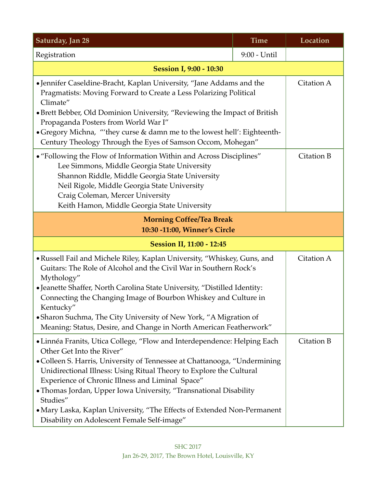| Saturday, Jan 28                                                                                                                                                                                                                                                                                                                                                                                                                                                                                                         | <b>Time</b>  | Location   |
|--------------------------------------------------------------------------------------------------------------------------------------------------------------------------------------------------------------------------------------------------------------------------------------------------------------------------------------------------------------------------------------------------------------------------------------------------------------------------------------------------------------------------|--------------|------------|
| Registration                                                                                                                                                                                                                                                                                                                                                                                                                                                                                                             | 9:00 - Until |            |
| <b>Session I, 9:00 - 10:30</b>                                                                                                                                                                                                                                                                                                                                                                                                                                                                                           |              |            |
| • Jennifer Caseldine-Bracht, Kaplan University, "Jane Addams and the<br>Pragmatists: Moving Forward to Create a Less Polarizing Political<br>Climate"<br>• Brett Bebber, Old Dominion University, "Reviewing the Impact of British<br>Propaganda Posters from World War I"<br>• Gregory Michna, "'they curse & damn me to the lowest hell': Eighteenth-<br>Century Theology Through the Eyes of Samson Occom, Mohegan"                                                                                                   |              | Citation A |
| • "Following the Flow of Information Within and Across Disciplines"<br>Lee Simmons, Middle Georgia State University<br>Shannon Riddle, Middle Georgia State University<br>Neil Rigole, Middle Georgia State University<br>Craig Coleman, Mercer University<br>Keith Hamon, Middle Georgia State University                                                                                                                                                                                                               |              | Citation B |
| <b>Morning Coffee/Tea Break</b><br>10:30 -11:00, Winner's Circle                                                                                                                                                                                                                                                                                                                                                                                                                                                         |              |            |
| Session II, 11:00 - 12:45                                                                                                                                                                                                                                                                                                                                                                                                                                                                                                |              |            |
| • Russell Fail and Michele Riley, Kaplan University, "Whiskey, Guns, and<br>Guitars: The Role of Alcohol and the Civil War in Southern Rock's<br>Mythology"<br>• Jeanette Shaffer, North Carolina State University, "Distilled Identity:<br>Connecting the Changing Image of Bourbon Whiskey and Culture in<br>Kentucky"<br>• Sharon Suchma, The City University of New York, "A Migration of<br>Meaning: Status, Desire, and Change in North American Featherwork"                                                      |              | Citation A |
| • Linnéa Franits, Utica College, "Flow and Interdependence: Helping Each<br>Other Get Into the River"<br>• Colleen S. Harris, University of Tennessee at Chattanooga, "Undermining<br>Unidirectional Illness: Using Ritual Theory to Explore the Cultural<br>Experience of Chronic Illness and Liminal Space"<br>• Thomas Jordan, Upper Iowa University, "Transnational Disability<br>Studies"<br>• Mary Laska, Kaplan University, "The Effects of Extended Non-Permanent<br>Disability on Adolescent Female Self-image" |              | Citation B |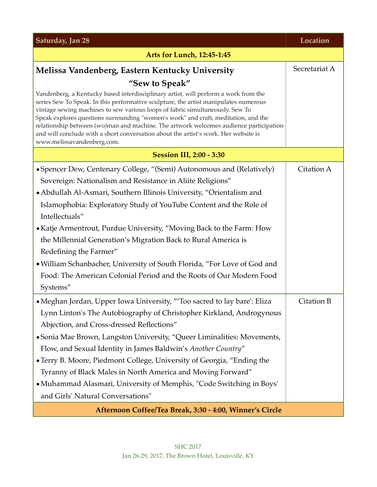| Saturday, Jan 28                                                                                                                                                                                                                                                                                                                                                                                                                                                                                                                                                 | Location      |  |
|------------------------------------------------------------------------------------------------------------------------------------------------------------------------------------------------------------------------------------------------------------------------------------------------------------------------------------------------------------------------------------------------------------------------------------------------------------------------------------------------------------------------------------------------------------------|---------------|--|
| <b>Arts for Lunch, 12:45-1:45</b>                                                                                                                                                                                                                                                                                                                                                                                                                                                                                                                                |               |  |
| Melissa Vandenberg, Eastern Kentucky University                                                                                                                                                                                                                                                                                                                                                                                                                                                                                                                  | Secretariat A |  |
| "Sew to Speak"                                                                                                                                                                                                                                                                                                                                                                                                                                                                                                                                                   |               |  |
| Vandenberg, a Kentucky based interdisciplinary artist, will perform a work from the<br>series Sew To Speak. In this performative sculpture, the artist manipulates numerous<br>vintage sewing machines to sew various loops of fabric simultaneously. Sew To<br>Speak explores questions surrounding "women's work" and craft, meditation, and the<br>relationship between (wo)man and machine. The artwork welcomes audience participation<br>and will conclude with a short conversation about the artist's work. Her website is<br>www.melissavandenberg.com. |               |  |
| <b>Session III, 2:00 - 3:30</b>                                                                                                                                                                                                                                                                                                                                                                                                                                                                                                                                  |               |  |
| • Spencer Dew, Centenary College, "(Semi) Autonomous and (Relatively)                                                                                                                                                                                                                                                                                                                                                                                                                                                                                            | Citation A    |  |
| Sovereign: Nationalism and Resistance in Aliite Religions"                                                                                                                                                                                                                                                                                                                                                                                                                                                                                                       |               |  |
| • Abdullah Al-Asmari, Southern Illinois University, "Orientalism and                                                                                                                                                                                                                                                                                                                                                                                                                                                                                             |               |  |
| Islamophobia: Exploratory Study of YouTube Content and the Role of                                                                                                                                                                                                                                                                                                                                                                                                                                                                                               |               |  |
| Intellectuals"                                                                                                                                                                                                                                                                                                                                                                                                                                                                                                                                                   |               |  |
| • Katje Armentrout, Purdue University, "Moving Back to the Farm: How                                                                                                                                                                                                                                                                                                                                                                                                                                                                                             |               |  |
| the Millennial Generation's Migration Back to Rural America is                                                                                                                                                                                                                                                                                                                                                                                                                                                                                                   |               |  |
| Redefining the Farmer"                                                                                                                                                                                                                                                                                                                                                                                                                                                                                                                                           |               |  |
| . William Schanbacher, University of South Florida, "For Love of God and                                                                                                                                                                                                                                                                                                                                                                                                                                                                                         |               |  |
| Food: The American Colonial Period and the Roots of Our Modern Food                                                                                                                                                                                                                                                                                                                                                                                                                                                                                              |               |  |
| Systems"                                                                                                                                                                                                                                                                                                                                                                                                                                                                                                                                                         |               |  |
| • Meghan Jordan, Upper Iowa University, "Too sacred to lay bare': Eliza                                                                                                                                                                                                                                                                                                                                                                                                                                                                                          | Citation B    |  |
| Lynn Linton's The Autobiography of Christopher Kirkland, Androgynous                                                                                                                                                                                                                                                                                                                                                                                                                                                                                             |               |  |
| Abjection, and Cross-dressed Reflections"                                                                                                                                                                                                                                                                                                                                                                                                                                                                                                                        |               |  |
| • Sonia Mae Brown, Langston University, "Queer Liminalities: Movements,                                                                                                                                                                                                                                                                                                                                                                                                                                                                                          |               |  |
| Flow, and Sexual Identity in James Baldwin's Another Country"                                                                                                                                                                                                                                                                                                                                                                                                                                                                                                    |               |  |
| • Terry B. Moore, Piedmont College, University of Georgia, "Ending the                                                                                                                                                                                                                                                                                                                                                                                                                                                                                           |               |  |
| Tyranny of Black Males in North America and Moving Forward"                                                                                                                                                                                                                                                                                                                                                                                                                                                                                                      |               |  |
| • Muhammad Alasmari, University of Memphis, "Code Switching in Boys"                                                                                                                                                                                                                                                                                                                                                                                                                                                                                             |               |  |
| and Girls' Natural Conversations"                                                                                                                                                                                                                                                                                                                                                                                                                                                                                                                                |               |  |
| Afternoon Coffee/Tea Break, 3:30 - 4:00, Winner's Circle                                                                                                                                                                                                                                                                                                                                                                                                                                                                                                         |               |  |